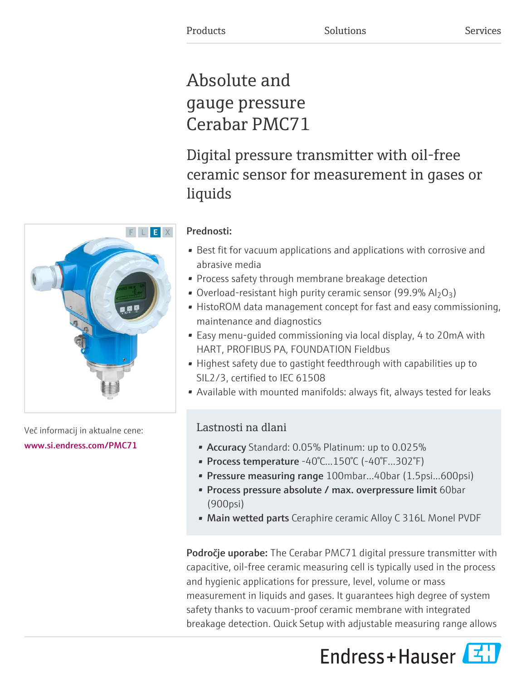# Absolute and gauge pressure Cerabar PMC71

Digital pressure transmitter with oil-free ceramic sensor for measurement in gases or liquids

## Prednosti:

- Best fit for vacuum applications and applications with corrosive and abrasive media
- Process safety through membrane breakage detection
- Overload-resistant high purity ceramic sensor (99.9%  $Al_2O_3$ )
- HistoROM data management concept for fast and easy commissioning, maintenance and diagnostics
- Easy menu-guided commissioning via local display, 4 to 20mA with HART, PROFIBUS PA, FOUNDATION Fieldbus
- Highest safety due to gastight feedthrough with capabilities up to SIL2/3, certified to IEC 61508
- Available with mounted manifolds: always fit, always tested for leaks

## Lastnosti na dlani

- Accuracy Standard: 0.05% Platinum: up to 0.025%
- Process temperature -40°C...150°C (-40°F...302°F)
- Pressure measuring range 100mbar...40bar (1.5psi...600psi)
- Process pressure absolute / max. overpressure limit 60bar (900psi)
- Main wetted parts Ceraphire ceramic Alloy C 316L Monel PVDF

Področje uporabe: The Cerabar PMC71 digital pressure transmitter with capacitive, oil-free ceramic measuring cell is typically used in the process and hygienic applications for pressure, level, volume or mass measurement in liquids and gases. It guarantees high degree of system safety thanks to vacuum-proof ceramic membrane with integrated breakage detection. Quick Setup with adjustable measuring range allows



Več informacij in aktualne cene: [www.si.endress.com/PMC71](https://www.si.endress.com/PMC71)

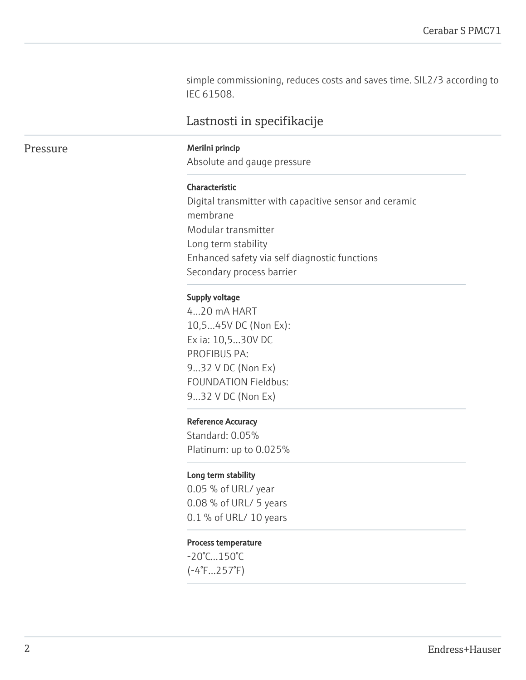simple commissioning, reduces costs and saves time. SIL2/3 according to IEC 61508.

## Lastnosti in specifikacije

#### Pressure Merilni princip

Absolute and gauge pressure

#### Characteristic

Digital transmitter with capacitive sensor and ceramic membrane Modular transmitter Long term stability Enhanced safety via self diagnostic functions Secondary process barrier

#### Supply voltage

4...20 mA HART 10,5...45V DC (Non Ex): Ex ia: 10,5...30V DC PROFIBUS PA: 9...32 V DC (Non Ex) FOUNDATION Fieldbus: 9...32 V DC (Non Ex)

#### Reference Accuracy

Standard: 0.05% Platinum: up to 0.025%

#### Long term stability

0.05 % of URL/ year 0.08 % of URL/ 5 years 0.1 % of URL/ 10 years

#### Process temperature

-20°C...150°C (-4°F...257°F)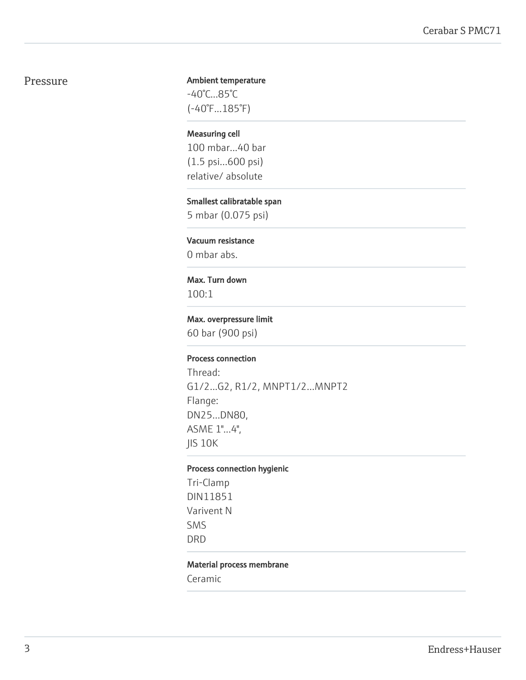### Pressure

#### Ambient temperature -40°C...85°C

(-40°F...185°F)

## Measuring cell

100 mbar...40 bar (1.5 psi...600 psi) relative/ absolute

## Smallest calibratable span

5 mbar (0.075 psi)

#### Vacuum resistance

0 mbar abs.

#### Max. Turn down

100:1

#### Max. overpressure limit

60 bar (900 psi)

#### Process connection

Thread: G1/2...G2, R1/2, MNPT1/2...MNPT2 Flange: DN25...DN80, ASME 1"...4", JIS 10K

#### Process connection hygienic

Tri-Clamp DIN11851 Varivent N SMS DRD

#### Material process membrane

Ceramic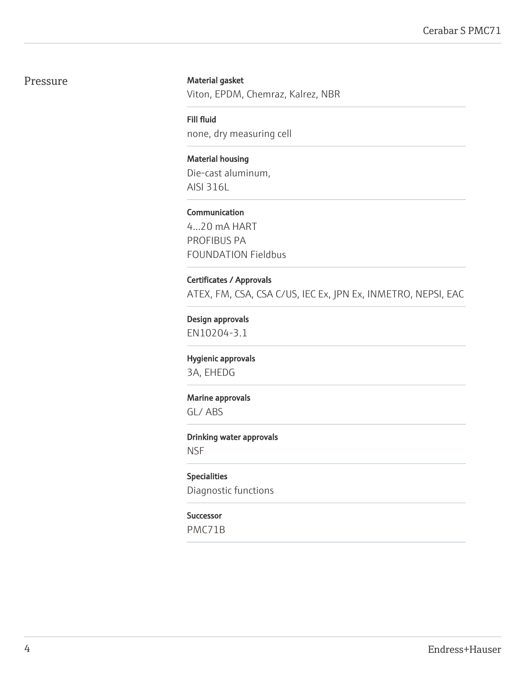### Pressure

#### Material gasket

Viton, EPDM, Chemraz, Kalrez, NBR

Fill fluid none, dry measuring cell

Material housing Die-cast aluminum, AISI 316L

Communication

4...20 mA HART PROFIBUS PA FOUNDATION Fieldbus

Certificates / Approvals ATEX, FM, CSA, CSA C/US, IEC Ex, JPN Ex, INMETRO, NEPSI, EAC

Design approvals EN10204-3.1

Hygienic approvals 3A, EHEDG

Marine approvals

GL/ ABS

Drinking water approvals **NSF** 

Specialities Diagnostic functions

#### Successor

PMC71B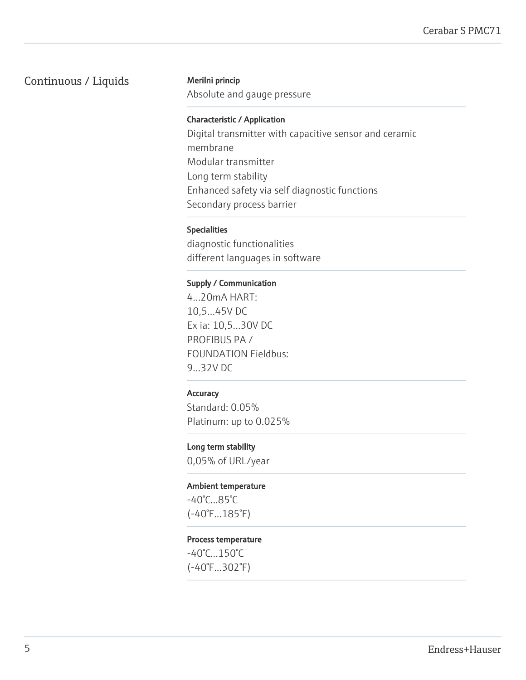## Continuous / Liquids Merilni princip

Absolute and gauge pressure

#### Characteristic / Application

Digital transmitter with capacitive sensor and ceramic membrane Modular transmitter Long term stability Enhanced safety via self diagnostic functions Secondary process barrier

#### Specialities

diagnostic functionalities different languages in software

#### Supply / Communication

4...20mA HART: 10,5...45V DC Ex ia: 10,5...30V DC PROFIBUS PA / FOUNDATION Fieldbus: 9...32V DC

#### **Accuracy**

Standard: 0.05% Platinum: up to 0.025%

#### Long term stability

0,05% of URL/year

#### Ambient temperature

-40°C...85°C (-40°F...185°F)

#### Process temperature

-40°C...150°C (-40°F...302°F)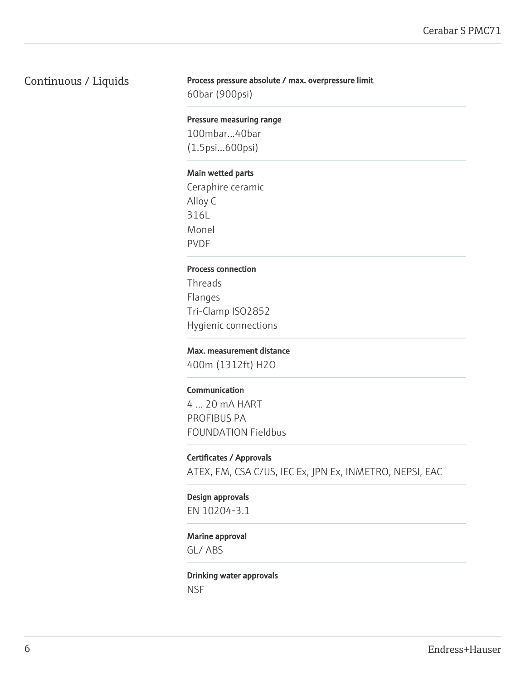## Continuous / Liquids

#### Process pressure absolute / max. overpressure limit

60bar (900psi)

#### Pressure measuring range

100mbar...40bar (1.5psi...600psi)

#### Main wetted parts

Ceraphire ceramic Alloy C 316L Monel PVDF

#### Process connection

Threads Flanges Tri-Clamp ISO2852 Hygienic connections

#### Max. measurement distance

400m (1312ft) H2O

#### Communication

4 ... 20 mA HART PROFIBUS PA FOUNDATION Fieldbus

#### Certificates / Approvals

ATEX, FM, CSA C/US, IEC Ex, JPN Ex, INMETRO, NEPSI, EAC

## Design approvals

EN 10204-3.1

#### Marine approval

GL/ ABS

### Drinking water approvals **NSF**